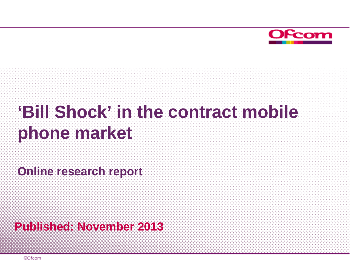

# **'Bill Shock' in the contract mobile phone market**

**Online research report**

**Published: November 2013**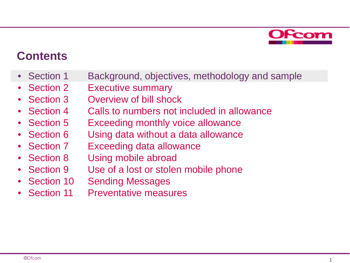

### **Contents**

- Section 1 Background, objectives, methodology and sample
- Section 2 Executive summary
- Section 3 Overview of bill shock
- Section 4 Calls to numbers not included in allowance
- Section 5 Exceeding monthly voice allowance
- Section 6 Using data without a data allowance
- Section 7 Exceeding data allowance
- Section 8 Using mobile abroad
- Section 9 Use of a lost or stolen mobile phone
- Section 10 Sending Messages
- Section 11 Preventative measures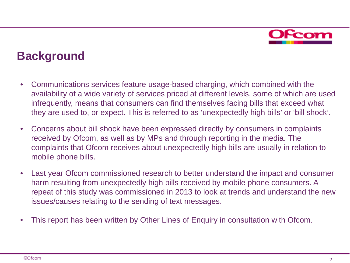

### **Background**

- Communications services feature usage-based charging, which combined with the availability of a wide variety of services priced at different levels, some of which are used infrequently, means that consumers can find themselves facing bills that exceed what they are used to, or expect. This is referred to as 'unexpectedly high bills' or 'bill shock'.
- Concerns about bill shock have been expressed directly by consumers in complaints received by Ofcom, as well as by MPs and through reporting in the media. The complaints that Ofcom receives about unexpectedly high bills are usually in relation to mobile phone bills.
- Last year Ofcom commissioned research to better understand the impact and consumer harm resulting from unexpectedly high bills received by mobile phone consumers. A repeat of this study was commissioned in 2013 to look at trends and understand the new issues/causes relating to the sending of text messages.
- This report has been written by Other Lines of Enquiry in consultation with Ofcom.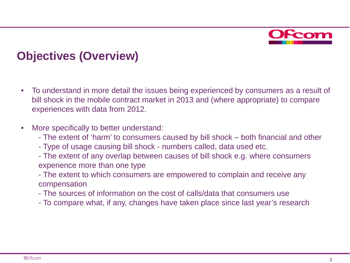

### **Objectives (Overview)**

- To understand in more detail the issues being experienced by consumers as a result of bill shock in the mobile contract market in 2013 and (where appropriate) to compare experiences with data from 2012.
- More specifically to better understand:
	- The extent of 'harm' to consumers caused by bill shock both financial and other
	- Type of usage causing bill shock numbers called, data used etc.
	- The extent of any overlap between causes of bill shock e.g. where consumers experience more than one type
	- The extent to which consumers are empowered to complain and receive any compensation
	- The sources of information on the cost of calls/data that consumers use
	- To compare what, if any, changes have taken place since last year's research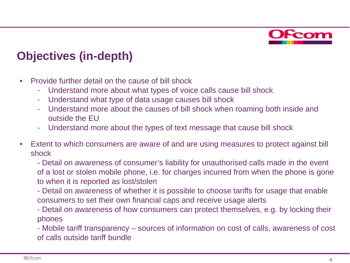

### **Objectives (in-depth)**

- Provide further detail on the cause of bill shock
	- Understand more about what types of voice calls cause bill shock
	- Understand what type of data usage causes bill shock
	- Understand more about the causes of bill shock when roaming both inside and outside the EU
	- Understand more about the types of text message that cause bill shock
- Extent to which consumers are aware of and are using measures to protect against bill shock
	- Detail on awareness of consumer's liability for unauthorised calls made in the event of a lost or stolen mobile phone, i.e. for charges incurred from when the phone is gone to when it is reported as lost/stolen
	- Detail on awareness of whether it is possible to choose tariffs for usage that enable consumers to set their own financial caps and receive usage alerts
	- Detail on awareness of how consumers can protect themselves, e.g. by locking their phones
	- Mobile tariff transparency sources of information on cost of calls, awareness of cost of calls outside tariff bundle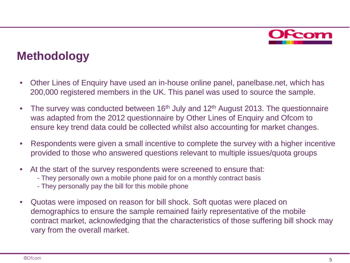

### **Methodology**

- Other Lines of Enquiry have used an in-house online panel, panelbase.net, which has 200,000 registered members in the UK. This panel was used to source the sample.
- The survey was conducted between  $16<sup>th</sup>$  July and  $12<sup>th</sup>$  August 2013. The questionnaire was adapted from the 2012 questionnaire by Other Lines of Enquiry and Ofcom to ensure key trend data could be collected whilst also accounting for market changes.
- Respondents were given a small incentive to complete the survey with a higher incentive provided to those who answered questions relevant to multiple issues/quota groups
- At the start of the survey respondents were screened to ensure that:
	- They personally own a mobile phone paid for on a monthly contract basis
	- They personally pay the bill for this mobile phone
- Quotas were imposed on reason for bill shock. Soft quotas were placed on demographics to ensure the sample remained fairly representative of the mobile contract market, acknowledging that the characteristics of those suffering bill shock may vary from the overall market.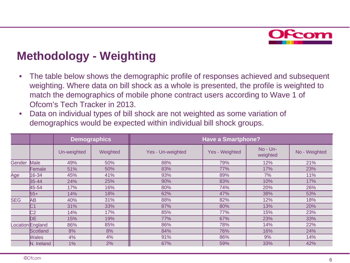

### **Methodology - Weighting**

- The table below shows the demographic profile of responses achieved and subsequent weighting. Where data on bill shock as a whole is presented, the profile is weighted to match the demographics of mobile phone contract users according to Wave 1 of Ofcom's Tech Tracker in 2013.
- Data on individual types of bill shock are not weighted as some variation of demographics would be expected within individual bill shock groups.

|            |                  |             | <b>Demographics</b> | <b>Have a Smartphone?</b> |                |                      |               |  |  |  |
|------------|------------------|-------------|---------------------|---------------------------|----------------|----------------------|---------------|--|--|--|
|            |                  | Un-weighted | Weighted            | Yes - Un-weighted         | Yes - Weighted | No - Un-<br>weighted | No - Weighted |  |  |  |
| Gender     | Male             | 49%         | 50%                 | 88%                       | 79%            | 12%                  | 21%           |  |  |  |
|            | Female           | 51%         | 50%                 | 83%                       | 77%            | 17%                  | 23%           |  |  |  |
| <u>Age</u> | 16-34            | 45%         | 41%                 | 93%                       | 89%            | 7%                   | 11%           |  |  |  |
|            | $35 - 44$        | 24%         | 25%                 | 90%                       | 83%            | 10%                  | 17%           |  |  |  |
|            | 45-54            | 17%         | 16%                 | 80%                       | 74%            | 20%                  | 26%           |  |  |  |
|            | $55+$            | 14%         | 18%                 | 62%                       | 47%            | 38%                  | 53%           |  |  |  |
| <b>SEG</b> | AВ               | 40%         | 31%                 | 88%                       | 82%            | 12%                  | 18%           |  |  |  |
|            | C <sub>1</sub>   | 31%         | 33%                 | 87%                       | 80%            | 13%                  | 20%           |  |  |  |
|            | C <sub>2</sub>   | 14%         | 17%                 | 85%                       | 77%            | 15%                  | 23%           |  |  |  |
|            | DE.              | 15%         | 19%                 | 77%                       | 67%            | 23%                  | 33%           |  |  |  |
|            | Location England | 86%         | 85%                 | 86%                       | 78%            | 14%                  | 22%           |  |  |  |
|            | Scotland         | 8%          | 8%                  | 84%                       | 76%            | 16%                  | 24%           |  |  |  |
|            | <b>Wales</b>     | 4%          | 4%                  | 91%                       | 86%            | 9%                   | 14%           |  |  |  |
|            | N. Ireland       | $1\%$       | 2%                  | 67%                       | 59%            | 33%                  | 42%           |  |  |  |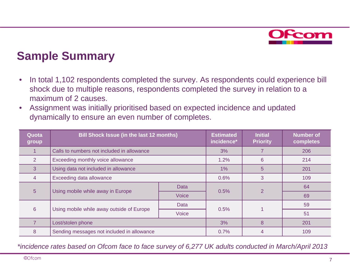

### **Sample Summary**

- In total 1,102 respondents completed the survey. As respondents could experience bill shock due to multiple reasons, respondents completed the survey in relation to a maximum of 2 causes.
- Assignment was initially prioritised based on expected incidence and updated dynamically to ensure an even number of completes.

| Quota<br>group | <b>Bill Shock Issue (in the last 12 months)</b> | <b>Estimated</b><br>incidence* | <b>Initial</b><br><b>Priority</b> | <b>Number of</b><br>completes |    |
|----------------|-------------------------------------------------|--------------------------------|-----------------------------------|-------------------------------|----|
|                | Calls to numbers not included in allowance      | 3%                             |                                   | 206                           |    |
| 2              | Exceeding monthly voice allowance               | 1.2%                           | 6                                 | 214                           |    |
| 3              | Using data not included in allowance            | 1%                             | 5                                 | 201                           |    |
| $\overline{4}$ | Exceeding data allowance                        | 0.6%                           | 3                                 | 109                           |    |
| 5              |                                                 | <b>Data</b>                    | 0.5%                              | 2                             | 64 |
|                | Using mobile while away in Europe               | Voice                          |                                   |                               | 69 |
| 6              | Data                                            |                                | 0.5%                              |                               | 59 |
|                | Using mobile while away outside of Europe       |                                |                                   | 51                            |    |
|                | Lost/stolen phone                               | 3%                             | 8                                 | 201                           |    |
| 8              | Sending messages not included in allowance      | 0.7%                           | 4                                 | 109                           |    |

*\*incidence rates based on Ofcom face to face survey of 6,277 UK adults conducted in March/April 2013*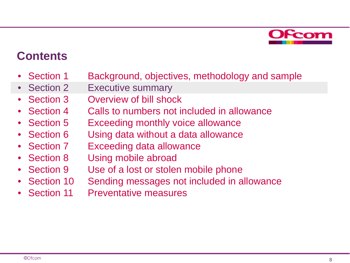

### **Contents**

- Section 1 Background, objectives, methodology and sample
- Section 2 Executive summary
- Section 3 Overview of bill shock
- Section 4 Calls to numbers not included in allowance
- Section 5 Exceeding monthly voice allowance
- Section 6 Using data without a data allowance
- Section 7 Exceeding data allowance
- Section 8 Using mobile abroad
- Section 9 Use of a lost or stolen mobile phone
- Section 10 Sending messages not included in allowance
- Section 11 Preventative measures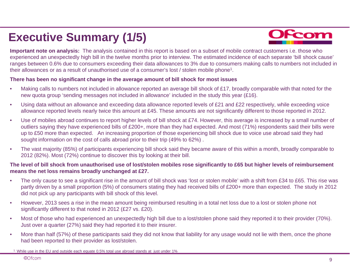## **Executive Summary (1/5)**



**Important note on analysis:** The analysis contained in this report is based on a subset of mobile contract customers i.e. those who experienced an unexpectedly high bill in the twelve months prior to interview. The estimated incidence of each separate 'bill shock cause' ranges between 0.6% due to consumers exceeding their data allowances to 3% due to consumers making calls to numbers not included in their allowances or as a result of unauthorised use of a consumer's lost / stolen mobile phone1.

#### **There has been no significant change in the average amount of bill shock for most issues**

- Making calls to numbers not included in allowance reported an average bill shock of £17, broadly comparable with that noted for the new quota group 'sending messages not included in allowance' included in the study this year (£16).
- Using data without an allowance and exceeding data allowance reported levels of £21 and £22 respectively, while exceeding voice allowance reported levels nearly twice this amount at £45. These amounts are not significantly different to those reported in 2012.
- Use of mobiles abroad continues to report higher levels of bill shock at £74. However, this average is increased by a small number of outliers saying they have experienced bills of £200+, more than they had expected. And most (71%) respondents said their bills were up to £50 more than expected. An increasing proportion of those experiencing bill shock due to voice use abroad said they had sought information on the cost of calls abroad prior to their trip (49% to 62%) .
- The vast majority (85%) of participants experiencing bill shock said they became aware of this within a month, broadly comparable to 2012 (82%). Most (72%) continue to discover this by looking at their bill.

#### **The level of bill shock from unauthorised use of lost/stolen mobiles rose significantly to £65 but higher levels of reimbursement means the net loss remains broadly unchanged at £27.**

- The only cause to see a significant rise in the amount of bill shock was 'lost or stolen mobile' with a shift from £34 to £65. This rise was partly driven by a small proportion (5%) of consumers stating they had received bills of £200+ more than expected. The study in 2012 did not pick up any participants with bill shock of this level.
- However, 2013 sees a rise in the mean amount being reimbursed resulting in a total net loss due to a lost or stolen phone not significantly different to that noted in 2012 (£27 vs. £20).
- Most of those who had experienced an unexpectedly high bill due to a lost/stolen phone said they reported it to their provider (70%). Just over a quarter (27%) said they had reported it to their insurer.
- More than half (57%) of these participants said they did not know that liability for any usage would not lie with them, once the phone had been reported to their provider as lost/stolen.

<sup>1.</sup> While use in the EU and outside each equate 0.5% total use abroad stands at just under 1%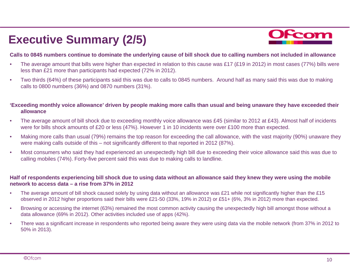## **Executive Summary (2/5)**



#### **Calls to 0845 numbers continue to dominate the underlying cause of bill shock due to calling numbers not included in allowance**

- The average amount that bills were higher than expected in relation to this cause was £17 (£19 in 2012) in most cases (77%) bills were less than £21 more than participants had expected (72% in 2012).
- Two thirds (64%) of these participants said this was due to calls to 0845 numbers. Around half as many said this was due to making calls to 0800 numbers (36%) and 0870 numbers (31%).

#### **'Exceeding monthly voice allowance' driven by people making more calls than usual and being unaware they have exceeded their allowance**

- The average amount of bill shock due to exceeding monthly voice allowance was £45 (similar to 2012 at £43). Almost half of incidents were for bills shock amounts of £20 or less (47%). However 1 in 10 incidents were over £100 more than expected.
- Making more calls than usual (79%) remains the top reason for exceeding the call allowance, with the vast majority (90%) unaware they were making calls outside of this – not significantly different to that reported in 2012 (87%).
- Most consumers who said they had experienced an unexpectedly high bill due to exceeding their voice allowance said this was due to calling mobiles (74%). Forty-five percent said this was due to making calls to landline.

#### **Half of respondents experiencing bill shock due to using data without an allowance said they knew they were using the mobile network to access data – a rise from 37% in 2012**

- The average amount of bill shock caused solely by using data without an allowance was £21 while not significantly higher than the £15 observed in 2012 higher proportions said their bills were £21-50 (33%, 19% in 2012) or £51+ (6%, 3% in 2012) more than expected.
- Browsing or accessing the internet (63%) remained the most common activity causing the unexpectedly high bill amongst those without a data allowance (69% in 2012). Other activities included use of apps (42%).
- There was a significant increase in respondents who reported being aware they were using data via the mobile network (from 37% in 2012 to 50% in 2013).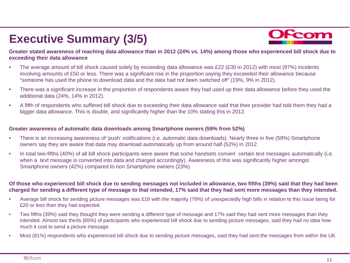## **Executive Summary (3/5)**



**Greater stated awareness of reaching data allowance than in 2012 (24% vs. 14%) among those who experienced bill shock due to exceeding their data allowance**

- The average amount of bill shock caused solely by exceeding data allowance was £22 (£30 in 2012) with most (97%) incidents involving amounts of £50 or less. There was a significant rise in the proportion saying they exceeded their allowance because "someone has used the phone to download data and the data had not been switched off" (19%, 9% in 2012).
- There was a significant increase in the proportion of respondents aware they had used up their data allowance before they used the additional data (24%, 14% in 2012).
- A fifth of respondents who suffered bill shock due to exceeding their data allowance said that their provider had told them they had a bigger data allowance. This is double, and significantly higher than the 10% stating this in 2012.

#### **Greater awareness of automatic data downloads among Smartphone owners (59% from 52%)**

- There is an increasing awareness of 'push' notifications (i.e. automatic data downloads). Nearly three in five (59%) Smartphone owners say they are aware that data may download automatically up from around half (52%) in 2012.
- In total two-fifths (40%) of all bill shock participants were aware that some handsets convert certain text messages automatically (i.e. when a text message is converted into data and charged accordingly). Awareness of this was significantly higher amongst Smartphone owners (42%) compared to non Smartphone owners (23%).

#### **Of those who experienced bill shock due to sending messages not included in allowance, two fifths (39%) said that they had been charged for sending a different type of message to that intended, 17% said that they had sent more messages than they intended.**

- Average bill shock for sending picture messages was £16 with the majority (79%) of unexpectedly high bills in relation to this issue being for £20 or less than they had expected.
- Two fifths (39%) said they thought they were sending a different type of message and 17% said they had sent more messages than they intended. Almost two thirds (65%) of participants who experienced bill shock due to sending picture messages, said they had no idea how much it cost to send a picture message.
- Most (81%) respondents who experienced bill shock due to sending picture messages, said they had sent the messages from within the UK.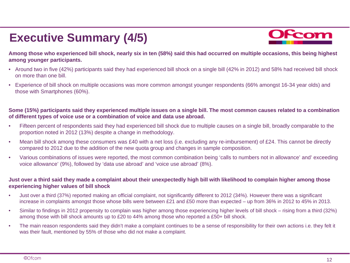## **Executive Summary (4/5)**



**Among those who experienced bill shock, nearly six in ten (58%) said this had occurred on multiple occasions, this being highest among younger participants.**

- Around two in five (42%) participants said they had experienced bill shock on a single bill (42% in 2012) and 58% had received bill shock on more than one bill.
- Experience of bill shock on multiple occasions was more common amongst younger respondents (66% amongst 16-34 year olds) and those with Smartphones (60%).

#### **Some (15%) participants said they experienced multiple issues on a single bill. The most common causes related to a combination of different types of voice use or a combination of voice and data use abroad.**

- Fifteen percent of respondents said they had experienced bill shock due to multiple causes on a single bill, broadly comparable to the proportion noted in 2012 (13%) despite a change in methodology.
- Mean bill shock among these consumers was £40 with a net loss (i.e. excluding any re-imbursement) of £24. This cannot be directly compared to 2012 due to the addition of the new quota group and changes in sample composition.
- Various combinations of issues were reported, the most common combination being 'calls to numbers not in allowance' and' exceeding voice allowance' (9%), followed by 'data use abroad' and 'voice use abroad' (8%).

#### **Just over a third said they made a complaint about their unexpectedly high bill with likelihood to complain higher among those experiencing higher values of bill shock**

- Just over a third (37%) reported making an official complaint, not significantly different to 2012 (34%). However there was a significant increase in complaints amongst those whose bills were between £21 and £50 more than expected – up from 36% in 2012 to 45% in 2013.
- Similar to findings in 2012 propensity to complain was higher among those experiencing higher levels of bill shock rising from a third (32%) among those with bill shock amounts up to £20 to 44% among those who reported a £50+ bill shock.
- The main reason respondents said they didn't make a complaint continues to be a sense of responsibility for their own actions i.e. they felt it was their fault, mentioned by 55% of those who did not make a complaint.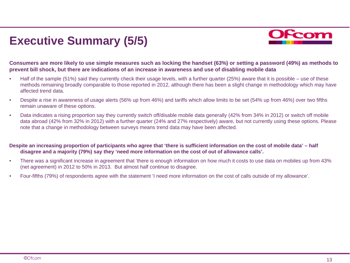## **Executive Summary (5/5)**



**Consumers are more likely to use simple measures such as locking the handset (63%) or setting a password (49%) as methods to prevent bill shock, but there are indications of an increase in awareness and use of disabling mobile data**

- Half of the sample (51%) said they currently check their usage levels, with a further quarter (25%) aware that it is possible use of these methods remaining broadly comparable to those reported in 2012, although there has been a slight change in methodology which may have affected trend data.
- Despite a rise in awareness of usage alerts (56% up from 46%) and tariffs which allow limits to be set (54% up from 46%) over two fifths remain unaware of these options.
- Data indicates a rising proportion say they currently switch off/disable mobile data generally (42% from 34% in 2012) or switch off mobile data abroad (42% from 32% in 2012) with a further quarter (24% and 27% respectively) aware, but not currently using these options. Please note that a change in methodology between surveys means trend data may have been affected.

#### **Despite an increasing proportion of participants who agree that 'there is sufficient information on the cost of mobile data' – half disagree and a majority (79%) say they 'need more information on the cost of out of allowance calls'.**

- There was a significant increase in agreement that 'there is enough information on how much it costs to use data on mobiles up from 43% (net agreement) in 2012 to 50% in 2013. But almost half continue to disagree.
- Four-fifths (79%) of respondents agree with the statement 'I need more information on the cost of calls outside of my allowance'.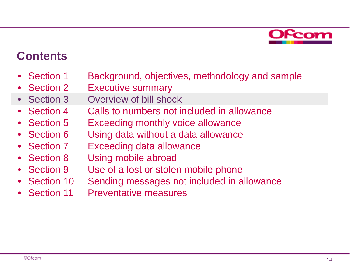

### **Contents**

- Section 1 Background, objectives, methodology and sample
- Section 2 Executive summary
- Section 3 Overview of bill shock
- Section 4 Calls to numbers not included in allowance
- Section 5 Exceeding monthly voice allowance
- Section 6 Using data without a data allowance
- Section 7 Exceeding data allowance
- Section 8 Using mobile abroad
- Section 9 Use of a lost or stolen mobile phone
- Section 10 Sending messages not included in allowance
- Section 11 Preventative measures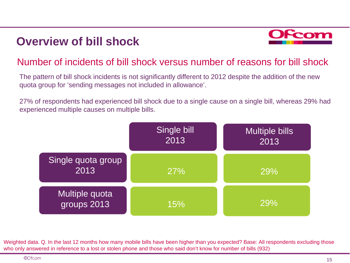

#### Number of incidents of bill shock versus number of reasons for bill shock

The pattern of bill shock incidents is not significantly different to 2012 despite the addition of the new quota group for 'sending messages not included in allowance'.

27% of respondents had experienced bill shock due to a single cause on a single bill, whereas 29% had experienced multiple causes on multiple bills.



Weighted data. Q. In the last 12 months how many mobile bills have been higher than you expected? Base: All respondents excluding those who only answered in reference to a lost or stolen phone and those who said don't know for number of bills (932)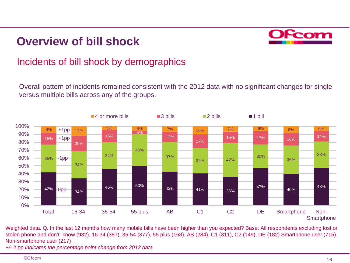

### Incidents of bill shock by demographics

Overall pattern of incidents remained consistent with the 2012 data with no significant changes for single versus multiple bills across any of the groups.



Weighted data. Q. In the last 12 months how many mobile bills have been higher than you expected? Base: All respondents excluding lost or stolen phone and don't know (932), 16-34 (387), 35-54 (377), 55 plus (168), AB (284), C1 (311), C2 (149), DE (182) Smartphone user (715), Non-smartphone user (217)

*+/- # pp indicates the percentage point change from 2012 data*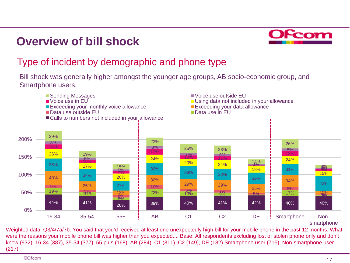

### Type of incident by demographic and phone type

Bill shock was generally higher amongst the younger age groups, AB socio-economic group, and Smartphone users.



Weighted data. Q3/4/7a/7b. You said that you'd received at least one unexpectedly high bill for your mobile phone in the past 12 months. What were the reasons your mobile phone bill was higher than you expected.... Base: All respondents excluding lost or stolen phone only and don't know (932), 16-34 (387), 35-54 (377), 55 plus (168), AB (284), C1 (311), C2 (149), DE (182) Smartphone user (715), Non-smartphone user (217)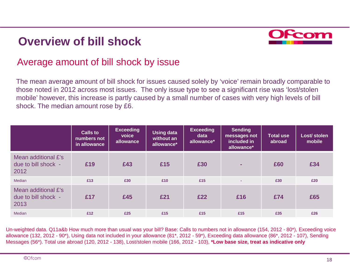

#### Average amount of bill shock by issue

The mean average amount of bill shock for issues caused solely by 'voice' remain broadly comparable to those noted in 2012 across most issues. The only issue type to see a significant rise was 'lost/stolen mobile' however, this increase is partly caused by a small number of cases with very high levels of bill shock. The median amount rose by £6.

|                                                    | Calls to<br>numbers not<br>in allowance | <b>Exceeding</b><br>voice<br>allowance | Using data<br>without an<br>allowance* | <b>Exceeding</b><br>data<br>allowance* | <b>Sending</b><br>messages not<br>included in<br>allowance* | <b>Total use</b><br>abroad | Lost/ stolen<br>mobile |
|----------------------------------------------------|-----------------------------------------|----------------------------------------|----------------------------------------|----------------------------------------|-------------------------------------------------------------|----------------------------|------------------------|
| Mean additional £'s<br>due to bill shock -<br>2012 | £19                                     | £43                                    | £15                                    | £30                                    | ۰.                                                          | £60                        | £34                    |
| Median                                             | £13                                     | £30                                    | £10                                    | £15                                    | $\sim$                                                      | £30                        | £20                    |
| Mean additional £'s<br>due to bill shock -<br>2013 | £17                                     | £45                                    | £21                                    | £22                                    | £16                                                         | £74                        | £65                    |
| Median                                             | £12                                     | £25                                    | £15                                    | £15                                    | £15                                                         | £35                        | £26                    |

Un-weighted data. Q11a&b How much more than usual was your bill? Base: Calls to numbers not in allowance (154, 2012 - 80\*), Exceeding voice allowance (132, 2012 - 90\*), Using data not included in your allowance (81\*, 2012 - 59\*), Exceeding data allowance (86\*, 2012 - 107), Sending Messages (56\*). Total use abroad (120, 2012 - 138), Lost/stolen mobile (166, 2012 - 103), **\*Low base size, treat as indicative only**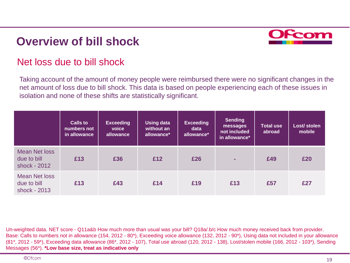

#### Net loss due to bill shock

Taking account of the amount of money people were reimbursed there were no significant changes in the net amount of loss due to bill shock. This data is based on people experiencing each of these issues in isolation and none of these shifts are statistically significant.

|                                                     | <b>Calls to</b><br>numbers not<br>in allowance | <b>Exceeding</b><br>voice<br>allowance | <b>Using data</b><br>without an<br>allowance* | <b>Exceeding</b><br>data<br>allowance* | <b>Sending</b><br>messages<br>not included<br>in allowance* | <b>Total use</b><br>abroad | Lost/ stolen<br>mobile |
|-----------------------------------------------------|------------------------------------------------|----------------------------------------|-----------------------------------------------|----------------------------------------|-------------------------------------------------------------|----------------------------|------------------------|
| <b>Mean Net loss</b><br>due to bill<br>shock - 2012 | £13                                            | £36                                    | £12                                           | £26                                    |                                                             | £49                        | £20                    |
| <b>Mean Net loss</b><br>due to bill<br>shock - 2013 | £13                                            | £43                                    | £14                                           | £19                                    | £13                                                         | £57                        | £27                    |

Un-weighted data. NET score - Q11a&b How much more than usual was your bill? Q18a/.b/c How much money received back from provider. Base: Calls to numbers not in allowance (154, 2012 - 80\*), Exceeding voice allowance (132, 2012 - 90\*), Using data not included in your allowance (81\*, 2012 - 59\*), Exceeding data allowance (86\*, 2012 - 107), Total use abroad (120, 2012 - 138), Lost/stolen mobile (166, 2012 - 103\*), Sending Messages (56\*). **\*Low base size, treat as indicative only**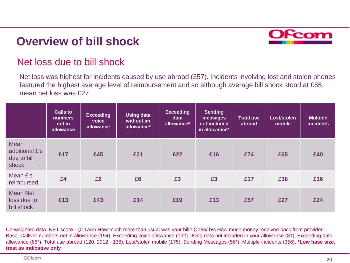

#### Net loss due to bill shock

Net loss was highest for incidents caused by use abroad (£57). Incidents involving lost and stolen phones featured the highest average level of reimbursement and so although average bill shock stood at £65, mean net loss was £27.

|                                                       | <b>Calls to</b><br><b>numbers</b><br>not in<br>allowance | <b>Exceeding</b><br>voice<br>allowance | <b>Using data</b><br>without an<br>allowance* | <b>Exceeding</b><br>data<br>allowance* | <b>Sending</b><br>messages<br>not included<br>in allowance* | <b>Total use</b><br>abroad | Lost/stolen<br>mobile | <b>Multiple</b><br><b>incidents</b> |
|-------------------------------------------------------|----------------------------------------------------------|----------------------------------------|-----------------------------------------------|----------------------------------------|-------------------------------------------------------------|----------------------------|-----------------------|-------------------------------------|
| <b>Mean</b><br>additional £'s<br>due to bill<br>shock | £17                                                      | £45                                    | £21                                           | £22                                    | £16                                                         | £74                        | £65                   | £40                                 |
| Mean £'s<br>reimbursed                                | £4                                                       | £2                                     | £6                                            | £3                                     | £3                                                          | £17                        | £38                   | £16                                 |
| <b>Mean Net</b><br>loss due to<br>bill shock          | £13                                                      | £43                                    | £14                                           | £19                                    | £13                                                         | £57                        | £27                   | £24                                 |

Un-weighted data. NET score - Q11a&b How much more than usual was your bill? Q18a/.b/c How much money received back from provider. Base: Calls to numbers not in allowance (154), Exceeding voice allowance (132) Using data not included in your allowance (81), Exceeding data allowance (86\*), Total use abroad (120, 2012 - 138), Lost/stolen mobile (175), Sending Messages (56\*), Multiple incidents (356). **\*Low base size, treat as indicative only**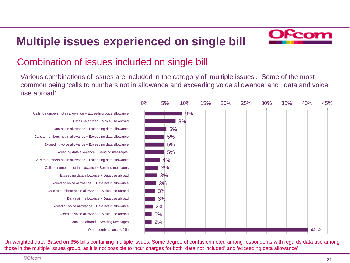## **Multiple issues experienced on single bill**



#### Combination of issues included on single bill

Various combinations of issues are included in the category of 'multiple issues'. Some of the most common being 'calls to numbers not in allowance and exceeding voice allowance' and 'data and voice use abroad'.

Calls to numbers not in allowance + Exceeding voice allowance Data use abroad + Voice use abroad Data not in allowance + Exceeding data allowance Calls to numbers not in allowance + Exceeding data allowance Exceeding voice allowance + Exceeding data allowance Exceeding data allowance + Sending messages Calls to numbers not in allowance + Exceeding data allowance… Calls to numbers not in allowance + Sending messages Exceeding data allowance + Data use abroad Exceeding voice allowance + Data not in allowance … Calls to numbers not in allowance + Voice use abroad Data not in allowance + Data use abroad Exceeding voice allowance + Data not in allowance Exceeding voice allowance + Voice use abroad Data use abroad + Sending Messages Other combinations (< 2%)



Un-weighted data. Based on 356 bills containing multiple issues. Some degree of confusion noted among respondents with regards data use among those in the multiple issues group, as it is not possible to incur charges for both 'data not included' and 'exceeding data allowance'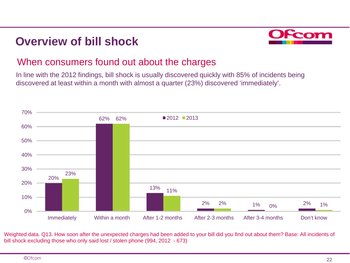

#### When consumers found out about the charges

In line with the 2012 findings, bill shock is usually discovered quickly with 85% of incidents being discovered at least within a month with almost a quarter (23%) discovered 'immediately'.



Weighted data. Q13. How soon after the unexpected charges had been added to your bill did you find out about them? Base: All incidents of bill shock excluding those who only said lost / stolen phone (994, 2012 - 673)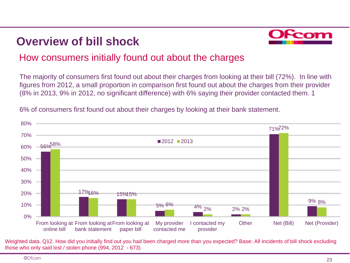

### How consumers initially found out about the charges

The majority of consumers first found out about their charges from looking at their bill (72%). In line with figures from 2012, a small proportion in comparison first found out about the charges from their provider (8% in 2013, 9% in 2012, no significant difference) with 6% saying their provider contacted them. 1



6% of consumers first found out about their charges by looking at their bank statement.

Weighted data. Q12. How did you initially find out you had been charged more than you expected? Base: All incidents of bill shock excluding those who only said lost / stolen phone (994, 2012 - 673)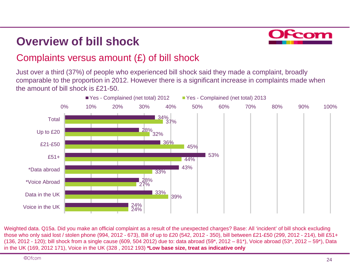

### Complaints versus amount (£) of bill shock

Just over a third (37%) of people who experienced bill shock said they made a complaint, broadly comparable to the proportion in 2012. However there is a significant increase in complaints made when the amount of bill shock is £21-50.



Weighted data. Q15a. Did you make an official complaint as a result of the unexpected charges? Base: All 'incident' of bill shock excluding those who only said lost / stolen phone (994, 2012 - 673), Bill of up to £20 (542, 2012 - 350), bill between £21-£50 (299, 2012 - 214), bill £51+ (136, 2012 - 120); bill shock from a single cause (609, 504 2012) due to: data abroad (59\*, 2012 – 81\*), Voice abroad (53\*, 2012 – 59\*), Data in the UK (169, 2012 171), Voice in the UK (328 , 2012 193) **\*Low base size, treat as indicative only**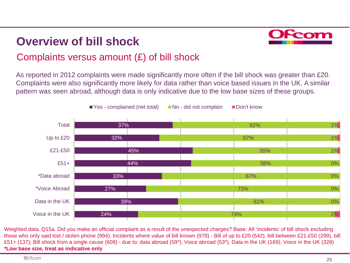

### Complaints versus amount (£) of bill shock

As reported in 2012 complaints were made significantly more often if the bill shock was greater than £20. Complaints were also significantly more likely for data rather than voice based issues in the UK. A similar pattern was seen abroad, although data is only indicative due to the low base sizes of these groups.



Weighted data. Q15a. Did you make an official complaint as a result of the unexpected charges? Base: All 'incidents' of bill shock excluding those who only said lost / stolen phone (994); Incidents where value of bill known (978) - Bill of up to £20 (542), bill between £21-£50 (299), bill £51+ (137); Bill shock from a single cause (609) - due to: data abroad (59\*), Voice abroad (53\*), Data in the UK (169), Voice in the UK (328) **\*Low base size, treat as indicative only**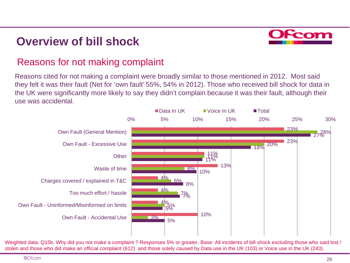

#### Reasons for not making complaint

Reasons cited for not making a complaint were broadly similar to those mentioned in 2012. Most said they felt it was their fault (Net for 'own fault' 55%, 54% in 2012). Those who received bill shock for data in the UK were significantly more likely to say they didn't complain because it was their fault, although their use was accidental.



Weighted data. Q15b. Why did you not make a complaint ? Responses 5% or greater. Base: All incidents of bill shock excluding those who said lost / stolen and those who did make an official complaint (612) and those solely caused by Data use in the UK (103) or Voice use in the UK (243).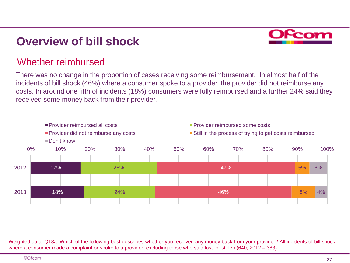

#### Whether reimbursed

There was no change in the proportion of cases receiving some reimbursement. In almost half of the incidents of bill shock (46%) where a consumer spoke to a provider, the provider did not reimburse any costs. In around one fifth of incidents (18%) consumers were fully reimbursed and a further 24% said they received some money back from their provider.



Weighted data. Q18a. Which of the following best describes whether you received any money back from your provider? All incidents of bill shock where a consumer made a complaint or spoke to a provider, excluding those who said lost or stolen (640, 2012 – 383)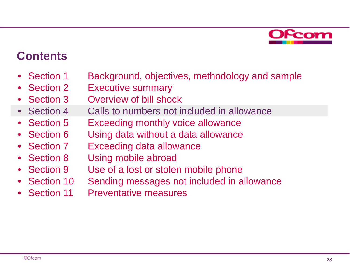

### **Contents**

- Section 1 Background, objectives, methodology and sample
- Section 2 Executive summary
- Section 3 Overview of bill shock
- Section 4 Calls to numbers not included in allowance
- Section 5 Exceeding monthly voice allowance
- Section 6 Using data without a data allowance
- Section 7 Exceeding data allowance
- Section 8 Using mobile abroad
- Section 9 Use of a lost or stolen mobile phone
- Section 10 Sending messages not included in allowance
- Section 11 Preventative measures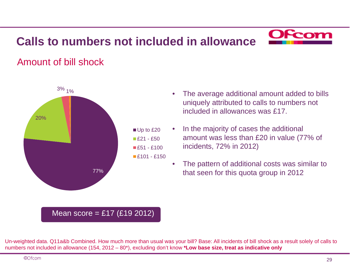

### Amount of bill shock



#### • The average additional amount added to bills uniquely attributed to calls to numbers not included in allowances was £17.

- In the majority of cases the additional amount was less than £20 in value (77% of incidents, 72% in 2012)
	- The pattern of additional costs was similar to that seen for this quota group in 2012

#### Mean score = £17 (£19 2012)

Un-weighted data. Q11a&b Combined. How much more than usual was your bill? Base: All incidents of bill shock as a result solely of calls to numbers not included in allowance (154, 2012 – 80\*), excluding don't know **\*Low base size, treat as indicative only**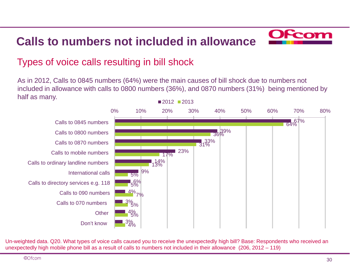

### Types of voice calls resulting in bill shock

As in 2012, Calls to 0845 numbers (64%) were the main causes of bill shock due to numbers not included in allowance with calls to 0800 numbers (36%), and 0870 numbers (31%) being mentioned by half as many.



Un-weighted data. Q20. What types of voice calls caused you to receive the unexpectedly high bill? Base: Respondents who received an unexpectedly high mobile phone bill as a result of calls to numbers not included in their allowance (206, 2012 – 119)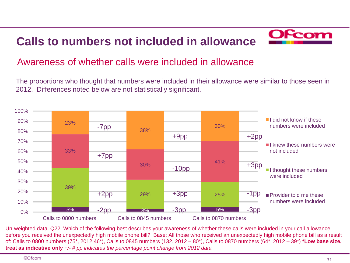

#### Awareness of whether calls were included in allowance

The proportions who thought that numbers were included in their allowance were similar to those seen in 2012. Differences noted below are not statistically significant.



Un-weighted data. Q22. Which of the following best describes your awareness of whether these calls were included in your call allowance before you received the unexpectedly high mobile phone bill? Base: All those who received an unexpectedly high mobile phone bill as a result of: Calls to 0800 numbers (75\*, 2012 46\*), Calls to 0845 numbers (132, 2012 – 80\*), Calls to 0870 numbers (64\*, 2012 – 39\*) **\*Low base size, treat as indicative only** *+/- # pp indicates the percentage point change from 2012 data*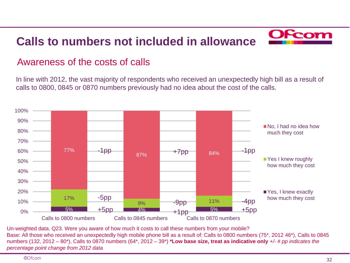

#### Awareness of the costs of calls

In line with 2012, the vast majority of respondents who received an unexpectedly high bill as a result of calls to 0800, 0845 or 0870 numbers previously had no idea about the cost of the calls.



Un-weighted data. Q23. Were you aware of how much it costs to call these numbers from your mobile? Base: All those who received an unexpectedly high mobile phone bill as a result of: Calls to 0800 numbers (75\*, 2012 46\*), Calls to 0845 numbers (132, 2012 – 80\*), Calls to 0870 numbers (64\*, 2012 – 39\*) **\*Low base size, treat as indicative only** *+/- # pp indicates the percentage point change from 2012 data*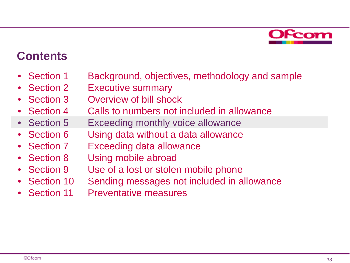

### **Contents**

- Section 1 Background, objectives, methodology and sample
- Section 2 Executive summary
- Section 3 Overview of bill shock
- Section 4 Calls to numbers not included in allowance
- Section 5 Exceeding monthly voice allowance
- Section 6 Using data without a data allowance
- Section 7 Exceeding data allowance
- Section 8 Using mobile abroad
- Section 9 Use of a lost or stolen mobile phone
- Section 10 Sending messages not included in allowance
- Section 11 Preventative measures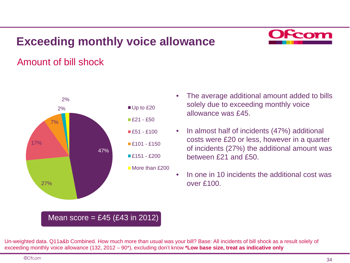## **Exceeding monthly voice allowance**



### Amount of bill shock



- The average additional amount added to bills solely due to exceeding monthly voice allowance was £45.
- In almost half of incidents (47%) additional costs were £20 or less, however in a quarter of incidents (27%) the additional amount was between £21 and £50.
- In one in 10 incidents the additional cost was over £100.

#### Mean score =  $£45$  (£43 in 2012)

Un-weighted data. Q11a&b Combined. How much more than usual was your bill? Base: All incidents of bill shock as a result solely of exceeding monthly voice allowance (132, 2012 – 90\*), excluding don't know **\*Low base size, treat as indicative only**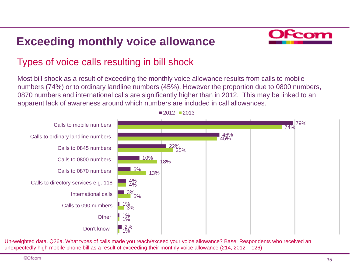## **Exceeding monthly voice allowance**



### Types of voice calls resulting in bill shock

Most bill shock as a result of exceeding the monthly voice allowance results from calls to mobile numbers (74%) or to ordinary landline numbers (45%). However the proportion due to 0800 numbers, 0870 numbers and international calls are significantly higher than in 2012. This may be linked to an apparent lack of awareness around which numbers are included in call allowances.



Un-weighted data. Q26a. What types of calls made you reach/exceed your voice allowance? Base: Respondents who received an unexpectedly high mobile phone bill as a result of exceeding their monthly voice allowance (214, 2012 – 126)

 $2012$  2013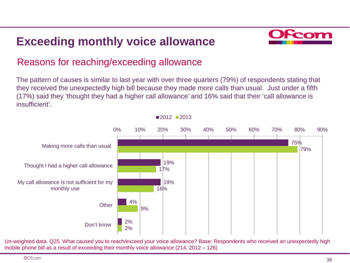## **Exceeding monthly voice allowance**



### Reasons for reaching/exceeding allowance

The pattern of causes is similar to last year with over three quarters (79%) of respondents stating that they received the unexpectedly high bill because they made more calls than usual. Just under a fifth (17%) said they 'thought they had a higher call allowance' and 16% said that their 'call allowance is insufficient'.



Un-weighted data. Q25. What caused you to reach/exceed your voice allowance? Base: Respondents who received an unexpectedly high mobile phone bill as a result of exceeding their monthly voice allowance (214, 2012 – 126)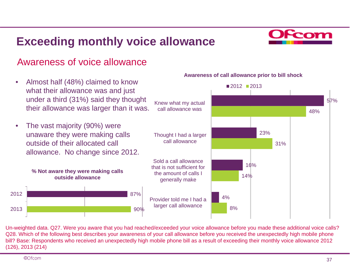## **Exceeding monthly voice allowance**



#### Awareness of voice allowance

• Almost half (48%) claimed to know what their allowance was and just under a third (31%) said they thought their allowance was larger than it was. • The vast majority (90%) were unaware they were making calls outside of their allocated call allowance. No change since 2012. 23% 16% 4% 31% 14% 8% Knew what my actual call allowance was Thought I had a larger call allowance Sold a call allowance that is not sufficient for the amount of calls I generally make Provider told me I had a larger call allowance  $2012$  2013 87% 90% 2012 2013 **% Not aware they were making calls outside allowance**

#### **Awareness of call allowance prior to bill shock**

Un-weighted data. Q27. Were you aware that you had reached/exceeded your voice allowance before you made these additional voice calls? Q28. Which of the following best describes your awareness of your call allowance before you received the unexpectedly high mobile phone bill? Base: Respondents who received an unexpectedly high mobile phone bill as a result of exceeding their monthly voice allowance 2012 (126), 2013 (214)

57%

48%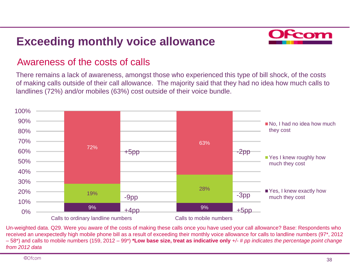## **Exceeding monthly voice allowance**



#### Awareness of the costs of calls

There remains a lack of awareness, amongst those who experienced this type of bill shock, of the costs of making calls outside of their call allowance. The majority said that they had no idea how much calls to landlines (72%) and/or mobiles (63%) cost outside of their voice bundle.



Un-weighted data. Q29. Were you aware of the costs of making these calls once you have used your call allowance? Base: Respondents who received an unexpectedly high mobile phone bill as a result of exceeding their monthly voice allowance for calls to landline numbers (97\*, 2012 – 58\*) and calls to mobile numbers (159, 2012 – 99\*) **\*Low base size, treat as indicative only** *+/- # pp indicates the percentage point change from 2012 data*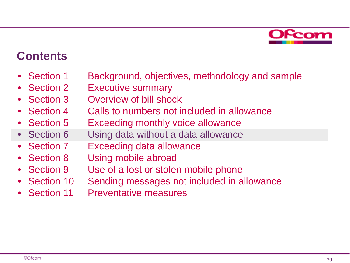

### **Contents**

- Section 1 Background, objectives, methodology and sample
- Section 2 Executive summary
- Section 3 Overview of bill shock
- Section 4 Calls to numbers not included in allowance
- Section 5 Exceeding monthly voice allowance
- Section 6 Using data without a data allowance
- Section 7 Exceeding data allowance
- Section 8 Using mobile abroad
- Section 9 Use of a lost or stolen mobile phone
- Section 10 Sending messages not included in allowance
- Section 11 Preventative measures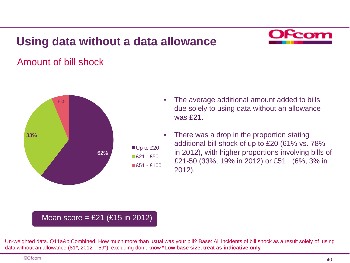### **Using data without a data allowance**



### Amount of bill shock



- The average additional amount added to bills due solely to using data without an allowance was £21.
- There was a drop in the proportion stating additional bill shock of up to £20 (61% vs. 78% in 2012), with higher proportions involving bills of £21-50 (33%, 19% in 2012) or £51+ (6%, 3% in 2012).

#### Mean score =  $£21$  (£15 in 2012)

Un-weighted data. Q11a&b Combined. How much more than usual was your bill? Base: All incidents of bill shock as a result solely of using data without an allowance (81\*, 2012 – 59\*), excluding don't know **\*Low base size, treat as indicative only**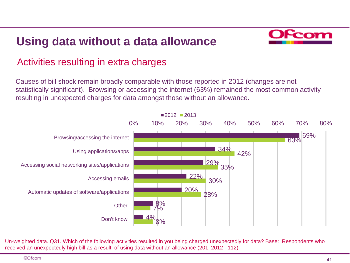### **Using data without a data allowance**



### Activities resulting in extra charges

Causes of bill shock remain broadly comparable with those reported in 2012 (changes are not statistically significant). Browsing or accessing the internet (63%) remained the most common activity resulting in unexpected charges for data amongst those without an allowance.



Un-weighted data. Q31. Which of the following activities resulted in you being charged unexpectedly for data? Base: Respondents who received an unexpectedly high bill as a result of using data without an allowance (201, 2012 - 112)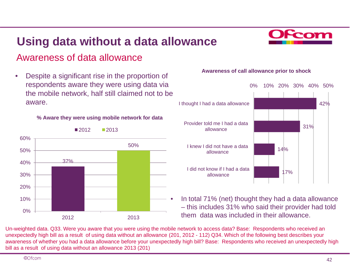### **Using data without a data allowance**



#### Awareness of data allowance

• Despite a significant rise in the proportion of respondents aware they were using data via the mobile network, half still claimed not to be aware.

**% Aware they were using mobile network for data**



#### $2012$  2013

#### **Awareness of call allowance prior to shock**



• In total 71% (net) thought they had a data allowance – this includes 31% who said their provider had told them data was included in their allowance.

Un-weighted data. Q33. Were you aware that you were using the mobile network to access data? Base: Respondents who received an unexpectedly high bill as a result of using data without an allowance (201, 2012 - 112) Q34. Which of the following best describes your awareness of whether you had a data allowance before your unexpectedly high bill? Base: Respondents who received an unexpectedly high bill as a result of using data without an allowance 2013 (201)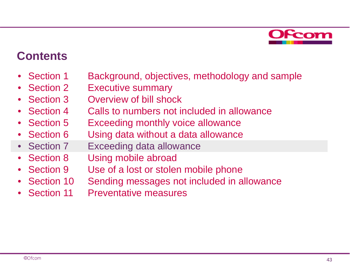

### **Contents**

- Section 1 Background, objectives, methodology and sample
- Section 2 Executive summary
- Section 3 Overview of bill shock
- Section 4 Calls to numbers not included in allowance
- Section 5 Exceeding monthly voice allowance
- Section 6 Using data without a data allowance
- Section 7 Exceeding data allowance
- Section 8 Using mobile abroad
- Section 9 Use of a lost or stolen mobile phone
- Section 10 Sending messages not included in allowance
- Section 11 Preventative measures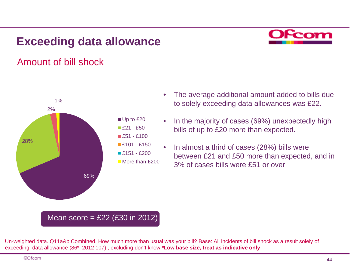

### Amount of bill shock



- The average additional amount added to bills due to solely exceeding data allowances was £22.
- In the majority of cases (69%) unexpectedly high bills of up to £20 more than expected.
- In almost a third of cases (28%) bills were between £21 and £50 more than expected, and in 3% of cases bills were £51 or over

#### Mean score =  $£22$  (£30 in 2012)

Un-weighted data. Q11a&b Combined. How much more than usual was your bill? Base: All incidents of bill shock as a result solely of exceeding data allowance (86\*, 2012 107) , excluding don't know **\*Low base size, treat as indicative only**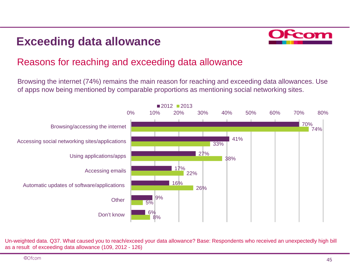

### Reasons for reaching and exceeding data allowance

Browsing the internet (74%) remains the main reason for reaching and exceeding data allowances. Use of apps now being mentioned by comparable proportions as mentioning social networking sites.



Un-weighted data. Q37. What caused you to reach/exceed your data allowance? Base: Respondents who received an unexpectedly high bill as a result of exceeding data allowance (109, 2012 - 126)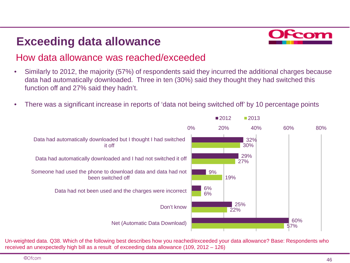

### How data allowance was reached/exceeded

- Similarly to 2012, the majority (57%) of respondents said they incurred the additional charges because data had automatically downloaded. Three in ten (30%) said they thought they had switched this function off and 27% said they hadn't.
- There was a significant increase in reports of 'data not being switched off' by 10 percentage points



Un-weighted data. Q38. Which of the following best describes how you reached/exceeded your data allowance? Base: Respondents who received an unexpectedly high bill as a result of exceeding data allowance (109, 2012 – 126)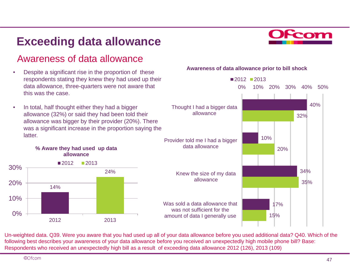### Awareness of data allowance

- Despite a significant rise in the proportion of these respondents stating they knew they had used up their data allowance, three-quarters were not aware that this was the case.
- In total, half thought either they had a bigger allowance (32%) or said they had been told their allowance was bigger by their provider (20%). There was a significant increase in the proportion saying the latter.



#### **Awareness of data allowance prior to bill shock**



Un-weighted data. Q39. Were you aware that you had used up all of your data allowance before you used additional data? Q40. Which of the following best describes your awareness of your data allowance before you received an unexpectedly high mobile phone bill? Base: Respondents who received an unexpectedly high bill as a result of exceeding data allowance 2012 (126), 2013 (109)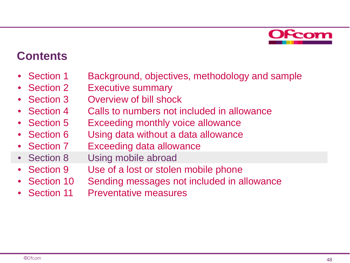

### **Contents**

- Section 1 Background, objectives, methodology and sample
- Section 2 Executive summary
- Section 3 Overview of bill shock
- Section 4 Calls to numbers not included in allowance
- Section 5 Exceeding monthly voice allowance
- Section 6 Using data without a data allowance
- Section 7 Exceeding data allowance
- Section 8 Using mobile abroad
- Section 9 Use of a lost or stolen mobile phone
- Section 10 Sending messages not included in allowance
- Section 11 Preventative measures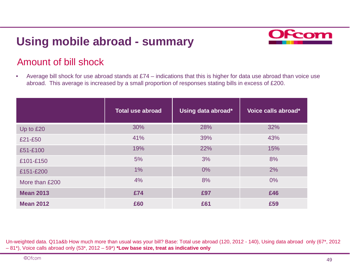### **Using mobile abroad - summary**



### Amount of bill shock

• Average bill shock for use abroad stands at £74 – indications that this is higher for data use abroad than voice use abroad. This average is increased by a small proportion of responses stating bills in excess of £200.

|                  | <b>Total use abroad</b> | Using data abroad* | Voice calls abroad* |
|------------------|-------------------------|--------------------|---------------------|
| Up to £20        | 30%                     | 28%                | 32%                 |
| £21-£50          | 41%                     | 39%                | 43%                 |
| £51-£100         | 19%                     | 22%                | 15%                 |
| £101-£150        | 5%                      | 3%                 | 8%                  |
| £151-£200        | $1\%$                   | 0%                 | 2%                  |
| More than £200   | 4%                      | 8%                 | $0\%$               |
| <b>Mean 2013</b> | £74                     | £97                | £46                 |
| <b>Mean 2012</b> | £60                     | £61                | £59                 |

Un-weighted data. Q11a&b How much more than usual was your bill? Base: Total use abroad (120, 2012 - 140), Using data abroad only (67\*, 2012 – 81\*), Voice calls abroad only (53\*, 2012 – 59\*) **\*Low base size, treat as indicative only**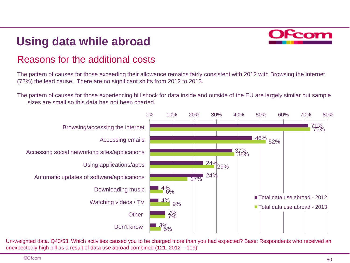### **Using data while abroad**



### Reasons for the additional costs

The pattern of causes for those exceeding their allowance remains fairly consistent with 2012 with Browsing the internet (72%) the lead cause. There are no significant shifts from 2012 to 2013.

The pattern of causes for those experiencing bill shock for data inside and outside of the EU are largely similar but sample sizes are small so this data has not been charted.



Un-weighted data. Q43/53. Which activities caused you to be charged more than you had expected? Base: Respondents who received an unexpectedly high bill as a result of data use abroad combined (121, 2012 – 119)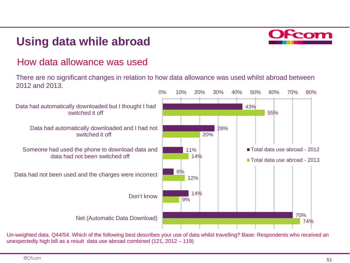### **Using data while abroad**



#### How data allowance was used

There are no significant changes in relation to how data allowance was used whilst abroad between 2012 and 2013.



Un-weighted data. Q44/54. Which of the following best describes your use of data whilst travelling? Base: Respondents who received an unexpectedly high bill as a result data use abroad combined (121, 2012 – 119)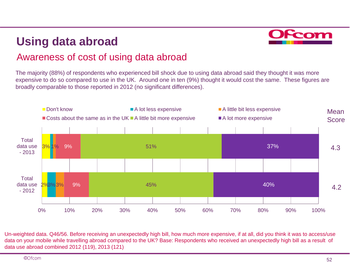## **Using data abroad**



### Awareness of cost of using data abroad

The majority (88%) of respondents who experienced bill shock due to using data abroad said they thought it was more expensive to do so compared to use in the UK. Around one in ten (9%) thought it would cost the same. These figures are broadly comparable to those reported in 2012 (no significant differences).



Un-weighted data. Q46/56. Before receiving an unexpectedly high bill, how much more expensive, if at all, did you think it was to access/use data on your mobile while travelling abroad compared to the UK? Base: Respondents who received an unexpectedly high bill as a result of data use abroad combined 2012 (119), 2013 (121)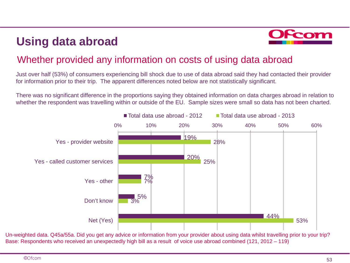## **Using data abroad**



### Whether provided any information on costs of using data abroad

Just over half (53%) of consumers experiencing bill shock due to use of data abroad said they had contacted their provider for information prior to their trip. The apparent differences noted below are not statistically significant.

There was no significant difference in the proportions saying they obtained information on data charges abroad in relation to whether the respondent was travelling within or outside of the EU. Sample sizes were small so data has not been charted.



Un-weighted data. Q45a/55a. Did you get any advice or information from your provider about using data whilst travelling prior to your trip? Base: Respondents who received an unexpectedly high bill as a result of voice use abroad combined (121, 2012 – 119)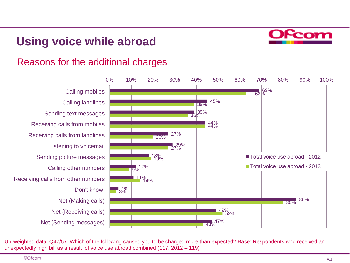## **Using voice while abroad**



#### Reasons for the additional charges



Un-weighted data. Q47/57. Which of the following caused you to be charged more than expected? Base: Respondents who received an unexpectedly high bill as a result of voice use abroad combined (117, 2012 – 119)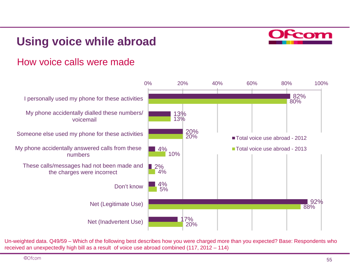## **Using voice while abroad**



#### How voice calls were made



Un-weighted data. Q49/59 – Which of the following best describes how you were charged more than you expected? Base: Respondents who received an unexpectedly high bill as a result of voice use abroad combined (117, 2012 – 114)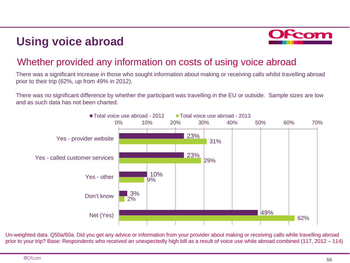## **Using voice abroad**



### Whether provided any information on costs of using voice abroad

There was a significant increase in those who sought information about making or receiving calls whilst travelling abroad prior to their trip (62%, up from 49% in 2012).

There was no significant difference by whether the participant was travelling in the EU or outside. Sample sizes are low and as such data has not been charted.



Un-weighted data. Q50a/60a. Did you get any advice or information from your provider about making or receiving calls while travelling abroad prior to your trip? Base: Respondents who received an unexpectedly high bill as a result of voice use while abroad combined (117, 2012 – 114)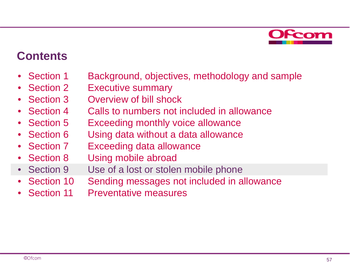

### **Contents**

- Section 1 Background, objectives, methodology and sample
- Section 2 Executive summary
- Section 3 Overview of bill shock
- Section 4 Calls to numbers not included in allowance
- Section 5 Exceeding monthly voice allowance
- Section 6 Using data without a data allowance
- Section 7 Exceeding data allowance
- Section 8 Using mobile abroad
- Section 9 Use of a lost or stolen mobile phone
- Section 10 Sending messages not included in allowance
- Section 11 Preventative measures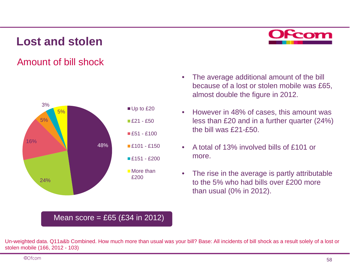### **Lost and stolen**



### Amount of bill shock



#### The average additional amount of the bill because of a lost or stolen mobile was £65, almost double the figure in 2012.

- However in 48% of cases, this amount was less than £20 and in a further quarter (24%) the bill was £21-£50.
- A total of 13% involved bills of £101 or more.
- The rise in the average is partly attributable to the 5% who had bills over £200 more than usual (0% in 2012).

#### Mean score =  $£65$  (£34 in 2012)

Un-weighted data. Q11a&b Combined. How much more than usual was your bill? Base: All incidents of bill shock as a result solely of a lost or stolen mobile (166, 2012 - 103)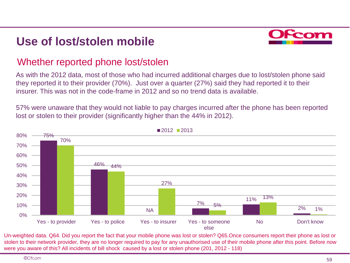## **Use of lost/stolen mobile**



#### Whether reported phone lost/stolen

As with the 2012 data, most of those who had incurred additional charges due to lost/stolen phone said they reported it to their provider (70%). Just over a quarter (27%) said they had reported it to their insurer. This was not in the code-frame in 2012 and so no trend data is available.

57% were unaware that they would not liable to pay charges incurred after the phone has been reported lost or stolen to their provider (significantly higher than the 44% in 2012).



Un-weighted data. Q64. Did you report the fact that your mobile phone was lost or stolen? Q65.Once consumers report their phone as lost or stolen to their network provider, they are no longer required to pay for any unauthorised use of their mobile phone after this point. Before now were you aware of this? All incidents of bill shock caused by a lost or stolen phone (201, 2012 - 118)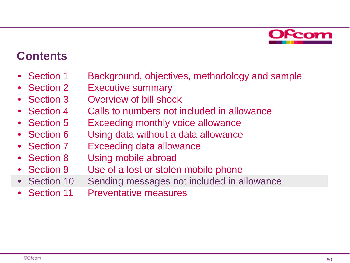

### **Contents**

- Section 1 Background, objectives, methodology and sample
- Section 2 Executive summary
- Section 3 Overview of bill shock
- Section 4 Calls to numbers not included in allowance
- Section 5 Exceeding monthly voice allowance
- Section 6 Using data without a data allowance
- Section 7 Exceeding data allowance
- Section 8 Using mobile abroad
- Section 9 Use of a lost or stolen mobile phone
- Section 10 Sending messages not included in allowance
- Section 11 Preventative measures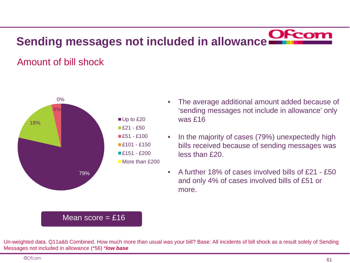### Amount of bill shock



#### Mean score  $=$  £16

- The average additional amount added because of 'sending messages not include in allowance' only was £16
- In the majority of cases (79%) unexpectedly high bills received because of sending messages was less than £20.
- A further 18% of cases involved bills of £21 £50 and only 4% of cases involved bills of £51 or more.

Un-weighted data. Q11a&b Combined. How much more than usual was your bill? Base: All incidents of bill shock as a result solely of Sending Messages not included in allowance (\*56) \**low base*

©Ofcom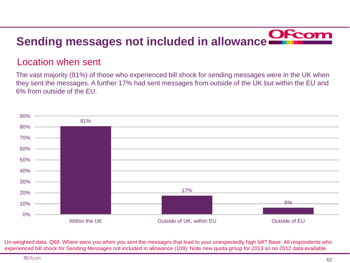### Location when sent

The vast majority (81%) of those who experienced bill shock for sending messages were in the UK when they sent the messages. A further 17% had sent messages from outside of the UK but within the EU and 6% from outside of the EU.



Un-weighted data. Q68. Where were you when you sent the messages that lead to your unexpectedly high bill? Base: All respondents who experienced bill shock for Sending Messages not included in allowance (109). Note new quota group for 2013 so no 2012 data available.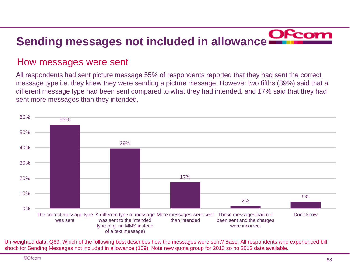#### How messages were sent

All respondents had sent picture message 55% of respondents reported that they had sent the correct message type i.e. they knew they were sending a picture message. However two fifths (39%) said that a different message type had been sent compared to what they had intended, and 17% said that they had sent more messages than they intended.



Un-weighted data. Q69. Which of the following best describes how the messages were sent? Base: All respondents who experienced bill shock for Sending Messages not included in allowance (109). Note new quota group for 2013 so no 2012 data available.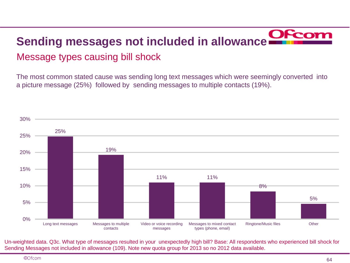# **Sending messages not included in allowance** Message types causing bill shock

The most common stated cause was sending long text messages which were seemingly converted into a picture message (25%) followed by sending messages to multiple contacts (19%).



Un-weighted data. Q3c. What type of messages resulted in your unexpectedly high bill? Base: All respondents who experienced bill shock for Sending Messages not included in allowance (109). Note new quota group for 2013 so no 2012 data available.

©Ofcom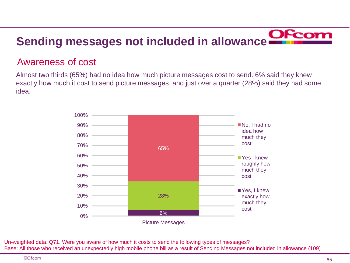### Awareness of cost

Almost two thirds (65%) had no idea how much picture messages cost to send. 6% said they knew exactly how much it cost to send picture messages, and just over a quarter (28%) said they had some idea.



Un-weighted data. Q71. Were you aware of how much it costs to send the following types of messages? Base: All those who received an unexpectedly high mobile phone bill as a result of Sending Messages not included in allowance (109)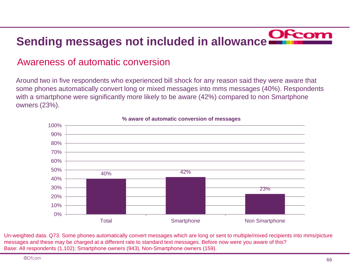### Awareness of automatic conversion

Around two in five respondents who experienced bill shock for any reason said they were aware that some phones automatically convert long or mixed messages into mms messages (40%). Respondents with a smartphone were significantly more likely to be aware (42%) compared to non Smartphone owners (23%).



#### **% aware of automatic conversion of messages**

Un-weighted data. Q73. Some phones automatically convert messages which are long or sent to multiple/mixed recipients into mms/picture messages and these may be charged at a different rate to standard text messages. Before now were you aware of this? Base: All respondents (1,102); Smartphone owners (943), Non-Smartphone owners (159).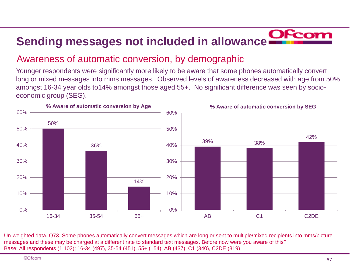### Awareness of automatic conversion, by demographic

Younger respondents were significantly more likely to be aware that some phones automatically convert long or mixed messages into mms messages. Observed levels of awareness decreased with age from 50% amongst 16-34 year olds to14% amongst those aged 55+. No significant difference was seen by socioeconomic group (SEG).



Un-weighted data. Q73. Some phones automatically convert messages which are long or sent to multiple/mixed recipients into mms/picture messages and these may be charged at a different rate to standard text messages. Before now were you aware of this? Base: All respondents (1,102); 16-34 (497), 35-54 (451), 55+ (154); AB (437), C1 (340), C2DE (319)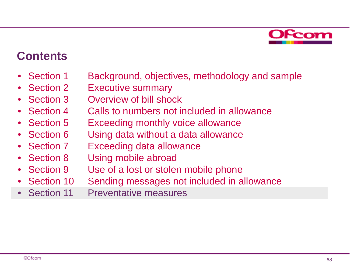

### **Contents**

- Section 1 Background, objectives, methodology and sample
- Section 2 Executive summary
- Section 3 Overview of bill shock
- Section 4 Calls to numbers not included in allowance
- Section 5 Exceeding monthly voice allowance
- Section 6 Using data without a data allowance
- Section 7 Exceeding data allowance
- Section 8 Using mobile abroad
- Section 9 Use of a lost or stolen mobile phone
- Section 10 Sending messages not included in allowance
- Section 11 Preventative measures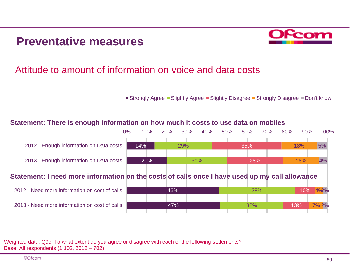### **Preventative measures**



### Attitude to amount of information on voice and data costs

■ Strongly Agree ■ Slightly Agree ■ Slightly Disagree ■ Strongly Disagree ■ Don't know

#### **Statement: There is enough information on how much it costs to use data on mobiles**



Weighted data. Q9c. To what extent do you agree or disagree with each of the following statements? Base: All respondents (1,102, 2012 – 702)

©Ofcom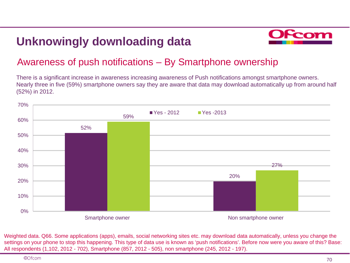## **Unknowingly downloading data**



### Awareness of push notifications – By Smartphone ownership

There is a significant increase in awareness increasing awareness of Push notifications amongst smartphone owners. Nearly three in five (59%) smartphone owners say they are aware that data may download automatically up from around half (52%) in 2012.



Weighted data. Q66. Some applications (apps), emails, social networking sites etc. may download data automatically, unless you change the settings on your phone to stop this happening. This type of data use is known as 'push notifications'. Before now were you aware of this? Base: All respondents (1,102, 2012 - 702), Smartphone (857, 2012 - 505), non smartphone (245, 2012 - 197).